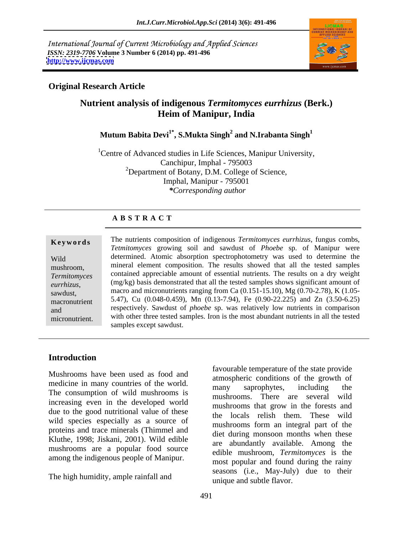International Journal of Current Microbiology and Applied Sciences *ISSN: 2319-7706* **Volume 3 Number 6 (2014) pp. 491-496 <http://www.ijcmas.com>**



## **Original Research Article**

# **Nutrient analysis of indigenous** *Termitomyces eurrhizus* **(Berk.) Heim of Manipur, India**

### **Mutum Babita Devi1\* , S.Mukta Singh<sup>2</sup> and N.Irabanta Singh<sup>1</sup>**

<sup>1</sup> Centre of Advanced studies in Life Sciences, Manipur University, Canchipur, Imphal - 795003 2Department of Botany, D.M. College of Science, Imphal, Manipur - 795001 *\*Corresponding author* 

### **A B S T R A C T**

**Keywords** The nutrients composition of indigenous *Termitomyces eurrhizus*, fungus combs, Wild determined. Atomic absorption spectrophotometry was used to determine the mushroom, mineral element composition. The results showed that all the tested samples *Termitomyces*  contained appreciable amount of essential nutrients. The results on a dry weight *eurrhizus*, (mg/kg) basis demonstrated that all the tested samples shows significant amount of macro and micronutrients ranging from Ca (0.151-15.10), Mg (0.70-2.78), K (1.05-<br>sawdust, macronutrient 5.47), Cu (0.048-0.459), Mn (0.13-7.94), Fe (0.90-22.225) and Zn (3.50-6.25) and respectively. Sawdust of *phoebe* sp. was relatively low nutrients in comparison micronutrient. with other three tested samples. Iron is the most abundant nutrients in all the tested *Tetmitomyces* growing soil and sawdust of *Phoebe* sp. of Manipur were (mg/kg) basis demonstrated that all the tested samples shows significant amount of samples except sawdust.

## **Introduction**

Mushrooms have been used as food and medicine in many countries of the world.<br>
many saprophytes, including the The consumption of wild mushrooms is increasing even in the developed world due to the good nutritional value of these wild species especially as a source of proteins and trace minerals (Thimmel and Kluthe, 1998; Jiskani, 2001). Wild edible mushrooms are a popular food source among the indigenous people of Manipur.

The high humidity, ample rainfall and

favourable temperature of the state provide atmospheric conditions of the growth of many saprophytes, including the mushrooms. There are several wild mushrooms that grow in the forests and the locals relish them. These wild mushrooms form an integral part of the diet during monsoon months when these are abundantly available. Among the edible mushroom, *Termitomyces* is the most popular and found during the rainy seasons (i.e., May-July) due to their unique and subtle flavor.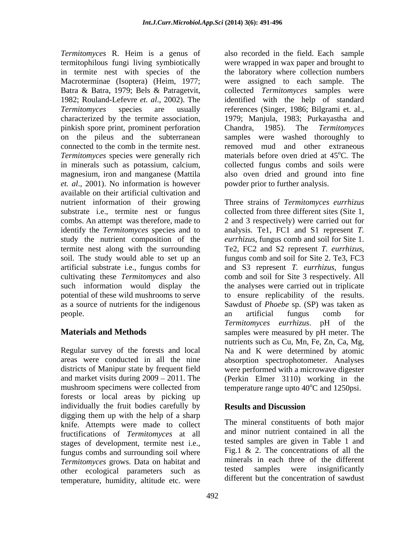Macroterminae (Isoptera) (Heim, 1977; pinkish spore print, prominent perforation Chandra, 1985). The Termitomyces *Termitomyces* species were generally rich in minerals such as potassium, calcium, *et. al*., 2001). No information is however available on their artificial cultivation and nutrient information of their growing substrate i.e., termite nest or fungus termite nest along with the surrounding Te2, FC2 and S2 represent T. eurrhizus, soil. The study would able to set up an fungus comb and soil for Site 2. Te3, FC3

and market visits during  $2009 - 2011$ . The forests or local areas by picking up individually the fruit bodies carefully by **Results and Discussion** digging them up with the help of a sharp knife. Attempts were made to collect fructifications of *Termitomyces* at all stages of development, termite nest i.e., fungus combs and surrounding soil where *Termitomyces* grows. Data on habitat and **minerals in each three of the different** other ecological parameters such as tested samples were insignificantly other ecological parameters such as temperature, humidity, altitude etc. were

*Termitomyces* R. Heim is a genus of also recorded in the field. Each sample termitophilous fungi living symbiotically were wrapped in wax paper and brought to in termite nest with species of the the laboratory where collection numbers Batra & Batra, 1979; Bels & Patragetvit, collected *Termitomyces* samples were 1982; Rouland-Lefevre *et. al*., 2002). The identified with the help of standard *Termitomyces* species are usually references (Singer, 1986; Bilgrami et. al., characterized by the termite association, 1979; Manjula, 1983; Purkayastha and on the pileus and the subterranean samples were washed thoroughly to connected to the comb in the termite nest. removed mud and other extraneous magnesium, iron and manganese (Mattila also oven dried and ground into fine were assigned to each sample. The Chandra, 1985). The *Termitomyces*  materials before oven dried at 45<sup>o</sup>C. The oC. The collected fungus combs and soils were powder prior to further analysis.

combs. An attempt was therefore, made to 2 and 3 respectively) were carried out for identify the *Termitomyces* species and to analysis. Te1, FC1 and S1 represent *T.*  study the nutrient composition of the *eurrhizus*, fungus comb and soil for Site 1. artificial substrate i.e., fungus combs for and S3 represent *T. eurrhizus*, fungus cultivating these *Termitomyces* and also comb and soil for Site 3 respectively. All such information would display the the analyses were carried out in triplicate potential of these wild mushrooms to serve to ensure replicability of the results. as a source of nutrients for the indigenous Sawdust of *Phoebe* sp. (SP) was taken as people. The comb comb comb comb comb comb for **Materials and Methods** samples were measured by pH meter. The Regular survey of the forests and local Na and K were determined by atomic areas were conducted in all the nine absorption spectrophotometer. Analyses districts of Manipur state by frequent field were performed with a microwave digester mushroom specimens were collected from temperature range upto  $40^{\circ}$ C and 1250psi. Three strains of *Termitomyces eurrhizus* collected from three different sites (Site 1, Te2, FC2 and S2 represent *T. eurrhizus*, fungus comb and soil for Site 2. Te3, FC3 an artificial fungus comb for *Termitomyces eurrhizus*. pH of the nutrients such as Cu, Mn, Fe, Zn, Ca, Mg, (Perkin Elmer 3110) working in the

# **Results and Discussion**

The mineral constituents of both major and minor nutrient contained in all the tested samples are given in Table 1 and Fig.1 & 2. The concentrations of all the minerals in each three of the different tested samples were insignificantly different but the concentration of sawdust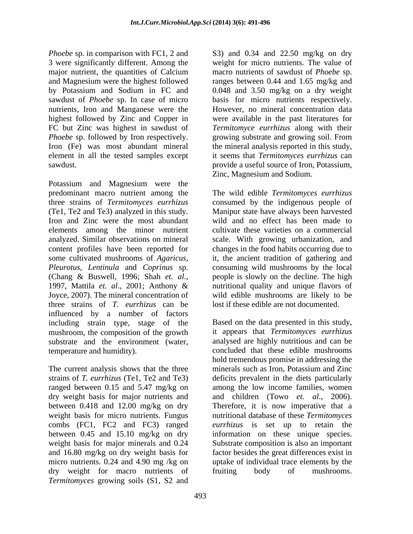*Phoebe* sp. in comparison with FC1, 2 and S3) and 0.34 and 22.50 mg/kg on dry 3 were significantly different. Among the major nutrient, the quantities of Calcium and Magnesium were the highest followed ranges between 0.44 and 1.65 mg/kg and by Potassium and Sodium in FC and 0.048 and 3.50 mg/kg on a dry weight sawdust of *Phoebe* sp. In case of micro basis for micro nutrients respectively. nutrients, Iron and Manganese were the However, no mineral concentration data highest followed by Zinc and Copper in were available in the past literatures for FC but Zinc was highest in sawdust of *Termitomyce eurrhizus* along with their *Phoebe* sp. followed by Iron respectively. growing substrate and growing soil. From Iron (Fe) was most abundant mineral the mineral analysis reported in this study, element in all the tested samples except sawdust. provide a useful source of Iron, Potassium,

Potassium and Magnesium were the predominant macro nutrient among the The wild edible *Termitomyces eurrhizus* three strains of *Termitomyces eurrhizus* consumed by the indigenous people of (Te1, Te2 and Te3) analyzed in this study. Manipur state have always been harvested Iron and Zinc were the most abundant wild and no effect has been made to elements among the minor nutrient analyzed. Similar observations on mineral scale. With growing urbanization, and content profiles have been reported for changes in the food habits occurring due to some cultivated mushrooms of *Agaricus,* it, the ancient tradition of gathering and *Pleurotus, Lentinula* and *Coprinus* sp. consuming wild mushrooms by the local (Chang & Buswell, 1996; Shah *et. al*., 1997, Mattila *et. al*., 2001; Anthony & Joyce, 2007). The mineral concentration of three strains of *T. eurrhizus* can be influenced by a number of factors including strain type, stage of the Based on the data presented in this study, mushroom, the composition of the growth substrate and the environment (water, temperature and humidity). concluded that these edible mushrooms

The current analysis shows that the three minerals such as Iron, Potassium and Zinc strains of *T. eurrhizus* (Te1, Te2 and Te3) ranged between 0.15 and 5.47 mg/kg on dry weight basis for major nutrients and and children (Towo *et. al*., 2006). between 0.418 and 12.00 mg/kg on dry weight basis for micro nutrients. Fungus combs (FC1, FC2 and FC3) ranged *eurrhizus* is set up to retain the between 0.45 and 15.10 mg/kg on dry information on these unique species. weight basis for major minerals and 0.24 and 16.80 mg/kg on dry weight basis for factor besides the great differences exist in micro nutrients. 0.24 and 4.90 mg /kg on uptake of individual trace elements by the dry weight for macro nutrients of fruiting body of mushrooms. *Termitomyces* growing soils (S1, S2 and

weight for micro nutrients. The value of macro nutrients of sawdust of *Phoebe* sp. it seems that *Termitomyces eurrhizus* can Zinc, Magnesium and Sodium.

cultivate these varieties on a commercial people is slowly on the decline. The high nutritional quality and unique flavors of wild edible mushrooms are likely to be lost if these edible are not documented.

it appears that *Termitomyces eurrhizus* analysed are highly nutritious and can be hold tremendous promise in addressing the minerals such as Iron, Potassium and Zinc deficits prevalent in the diets particularly among the low income families, women Therefore, it is now imperative that a nutritional database of these *Termitomyces*  Substrate composition is also an important fruiting body of mushrooms.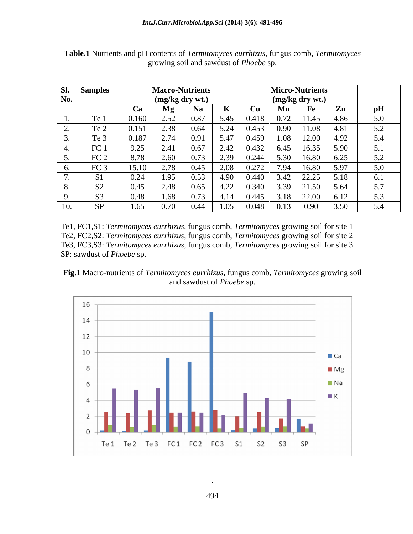| SI.                                  | <b>Samples</b>  |       | <b>Macro-Nutrients</b> |               |                    |                |                 | <b>Micro-Nutrients</b>  |      |     |
|--------------------------------------|-----------------|-------|------------------------|---------------|--------------------|----------------|-----------------|-------------------------|------|-----|
| No.                                  |                 |       | (mg/kg dry wt.)        |               |                    |                | (mg/kg dry wt.) |                         |      |     |
|                                      |                 | Ca    | $\mathbf{Mg}$          | <b>Na</b>     |                    | <b>Cu</b>      | Mn              | $F_{\epsilon}$          | Zn   | pH  |
|                                      | Te 1            | 0.160 | 2.52                   | 0.87          | 5.45               | 0.418          | 0.72            | 11.45                   | 4.86 | 5.0 |
| $\sim$<br>$\overline{\phantom{a}}$ . | Te 2            | 0.151 | 2.38                   | 0.64          | 5.24               | 0.453          | 0.90            | 11.08                   | 4.81 | 5.2 |
|                                      | Te 3            | 0.187 | $\angle .14$           | 0.91          | 5.47               | 0.459          | 1.08            | $\vert$ 12.00           | 4.92 | 5.4 |
|                                      | FC <sub>1</sub> | 9.25  | 2.41                   | 0.67          | 2.42               | 0.432          | 6.45            | 16.35                   | 5.90 | 5.1 |
|                                      | FC <sub>2</sub> | 8.78  | $\Omega$ com<br>2.00   | 0.73          | 2.39               | 0.244<br>U.244 | 5.30            | 16.80                   | 6.25 | 5.2 |
|                                      | FC <sub>3</sub> | 15.10 | 270<br>2. I O          | 0.45          | 2.08               | 0.272          | 7.94            | 16.8                    | 5.97 | 5.0 |
| $\overline{a}$                       | <b>S1</b>       | 0.24  | 1.95                   | 0.53          | 4.90               | 0.440          | 3.42            | $\overline{a}$<br>44.4. | 5.18 | 6.1 |
| $\mathbf{o}$ .                       | S <sub>2</sub>  | 0.45  | 2.48                   | 0.65          | $4.22 \quad 0.340$ |                | 3.39            | 21.JU                   | 5.64 | 5.7 |
|                                      | S <sub>3</sub>  | 0.48  | .68                    | $0.7^{\circ}$ | 4.14               | 0.445          | 3.18            | 22.0                    | 6.12 | 5.3 |
| ______<br>10.                        | CD              | 1.65  | 0.70                   | 0.44          | 1.05               | 0.048          | 0.13            | 0.90                    | 3.50 | 5.4 |

**Table.1** Nutrients and pH contents of *Termitomyces eurrhizus*, fungus comb, *Termitomyces* growing soil and sawdust of *Phoebe* sp.

Te1, FC1,S1: *Termitomyces eurrhizus,* fungus comb, *Termitomyces* growing soil for site 1 Te2, FC2,S2: *Termitomyces eurrhizus,* fungus comb, *Termitomyces* growing soil for site 2 Te3, FC3,S3: *Termitomyces eurrhizus,* fungus comb, *Termitomyces* growing soil for site 3 SP: sawdust of *Phoebe* sp.





.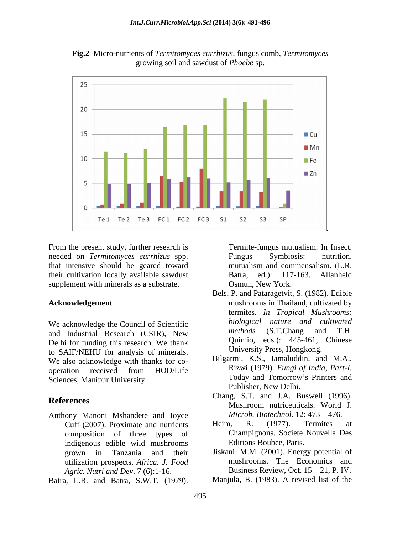

**Fig.2** Micro-nutrients of *Termitomyces eurrhizus*, fungus comb, *Termitomyces* growing soil and sawdust of *Phoebe* sp.

From the present study, further research is Termite-fungus mutualism. In Insect. needed on *Termitomyces eurrhizus* spp. that intensive should be geared toward their cultivation locally available sawdust Batra, ed.): 117-163. Allanheld supplement with minerals as a substrate.

We acknowledge the Council of Scientific *biological nature and cultivated*<br>and Industrial Besearch (CSIP) Now *methods* (S.T.Chang and T.H. and Industrial Research (CSIR), New Delhi for funding this research. We thank to SAIF/NEHU for analysis of minerals. We also acknowledge with thanks for co operation received from HOD/Life  $\overline{R}$  Rizwi (1979). Fungi of India, Part-I. Sciences, Manipur University. Today and Tomorrow's Printers and

Anthony Manoni Mshandete and Joyce Microb. Biotechnol. 12: 473 – 47<br>Cuff (2007) Proximate and nutrients Heim. R. (1977). Termites composition of three types of indigenous edible wild mushrooms utilization prospects. *Africa. J. Food Agric. Nutri and Dev*. 7 (6):1-16. From the present study, further research is and Batra, and Insect. The Hotel content in the same of the substrate.<br>
the substrate. Somm, New York.<br>
Hotel inter cultivation locally available survlusts. The substrate. Somm,

Osmun, New York.

- **Acknowledgement** mushrooms in Thailand, cultivated by Bels, P. and Pataragetvit, S. (1982). Edible termites. *In Tropical Mushrooms: biological nature and cultivated methods* (S.T.Chang and T.H. Quimio, eds.): 445-461, Chinese University Press, Hongkong.
	- Bilgarmi, K.S., Jamaluddin, and M.A., Rizwi (1979). *Fungi of India, Part-I.* Today and Tomorrow's Printers and Publisher, New Delhi.
- **References**<br>Mushroom nutriceuticals. World J. Chang, S.T. and J.A. Buswell (1996). Mushroom nutriceuticals. World J. *Microb. Biotechnol.* 12: 473 – 476.
	- Cuff (2007). Proximate and nutrients Heim, R. (1977). Termites at Heim, R. (1977). Termites at Champignons. Societe Nouvella Des Editions Boubee, Paris.
	- grown in Tanzania and their Jiskani. M.M. (2001). Energy potential of mushrooms. The Economics and Business Review, Oct.  $15 - 21$ , P. IV.
		- Manjula, B. (1983). A revised list of the